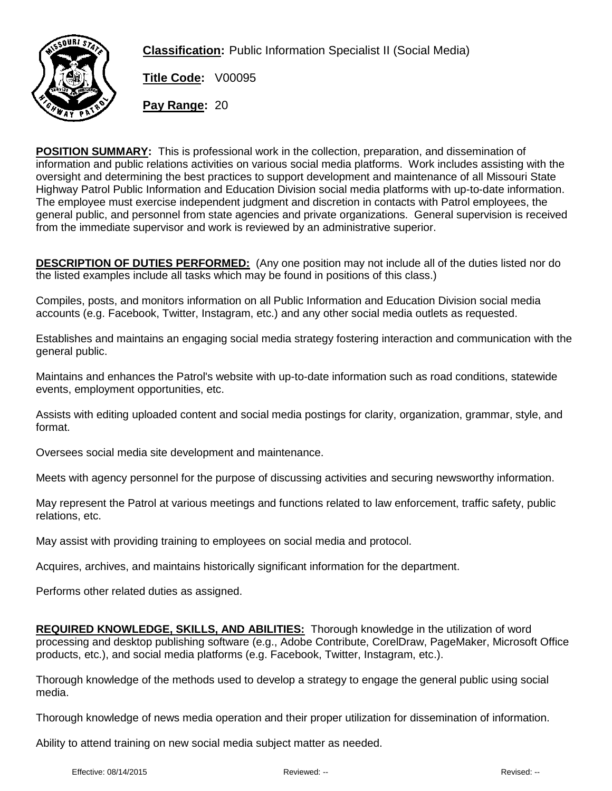

**Classification:** Public Information Specialist II (Social Media)

**Title Code:** V00095

**Pay Range:** 20

**POSITION SUMMARY:** This is professional work in the collection, preparation, and dissemination of information and public relations activities on various social media platforms. Work includes assisting with the oversight and determining the best practices to support development and maintenance of all Missouri State Highway Patrol Public Information and Education Division social media platforms with up-to-date information. The employee must exercise independent judgment and discretion in contacts with Patrol employees, the general public, and personnel from state agencies and private organizations. General supervision is received from the immediate supervisor and work is reviewed by an administrative superior.

**DESCRIPTION OF DUTIES PERFORMED:** (Any one position may not include all of the duties listed nor do the listed examples include all tasks which may be found in positions of this class.)

Compiles, posts, and monitors information on all Public Information and Education Division social media accounts (e.g. Facebook, Twitter, Instagram, etc.) and any other social media outlets as requested.

Establishes and maintains an engaging social media strategy fostering interaction and communication with the general public.

Maintains and enhances the Patrol's website with up-to-date information such as road conditions, statewide events, employment opportunities, etc.

Assists with editing uploaded content and social media postings for clarity, organization, grammar, style, and format.

Oversees social media site development and maintenance.

Meets with agency personnel for the purpose of discussing activities and securing newsworthy information.

May represent the Patrol at various meetings and functions related to law enforcement, traffic safety, public relations, etc.

May assist with providing training to employees on social media and protocol.

Acquires, archives, and maintains historically significant information for the department.

Performs other related duties as assigned.

**REQUIRED KNOWLEDGE, SKILLS, AND ABILITIES:** Thorough knowledge in the utilization of word processing and desktop publishing software (e.g., Adobe Contribute, CorelDraw, PageMaker, Microsoft Office products, etc.), and social media platforms (e.g. Facebook, Twitter, Instagram, etc.).

Thorough knowledge of the methods used to develop a strategy to engage the general public using social media.

Thorough knowledge of news media operation and their proper utilization for dissemination of information.

Ability to attend training on new social media subject matter as needed.